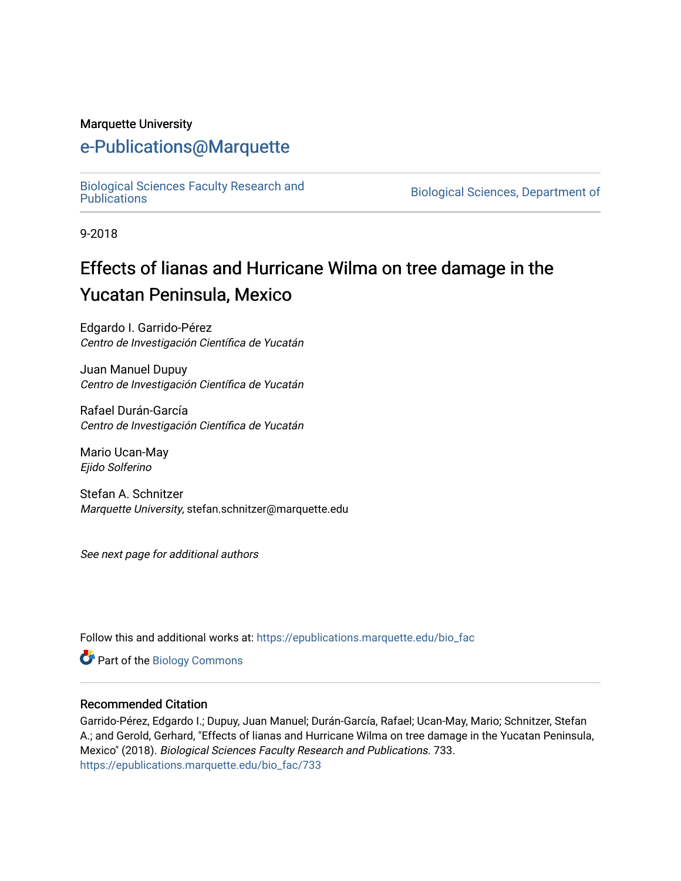### Marquette University

## [e-Publications@Marquette](https://epublications.marquette.edu/)

[Biological Sciences Faculty Research and](https://epublications.marquette.edu/bio_fac) 

Biological Sciences, Department of

9-2018

# Effects of lianas and Hurricane Wilma on tree damage in the Yucatan Peninsula, Mexico

Edgardo I. Garrido-Pérez Centro de Investigación Científica de Yucatán

Juan Manuel Dupuy Centro de Investigación Científica de Yucatán

Rafael Durán-García Centro de Investigación Científica de Yucatán

Mario Ucan-May Ejido Solferino

Stefan A. Schnitzer Marquette University, stefan.schnitzer@marquette.edu

See next page for additional authors

Follow this and additional works at: [https://epublications.marquette.edu/bio\\_fac](https://epublications.marquette.edu/bio_fac?utm_source=epublications.marquette.edu%2Fbio_fac%2F733&utm_medium=PDF&utm_campaign=PDFCoverPages) 

Part of the [Biology Commons](http://network.bepress.com/hgg/discipline/41?utm_source=epublications.marquette.edu%2Fbio_fac%2F733&utm_medium=PDF&utm_campaign=PDFCoverPages) 

### Recommended Citation

Garrido-Pérez, Edgardo I.; Dupuy, Juan Manuel; Durán-García, Rafael; Ucan-May, Mario; Schnitzer, Stefan A.; and Gerold, Gerhard, "Effects of lianas and Hurricane Wilma on tree damage in the Yucatan Peninsula, Mexico" (2018). Biological Sciences Faculty Research and Publications. 733. [https://epublications.marquette.edu/bio\\_fac/733](https://epublications.marquette.edu/bio_fac/733?utm_source=epublications.marquette.edu%2Fbio_fac%2F733&utm_medium=PDF&utm_campaign=PDFCoverPages)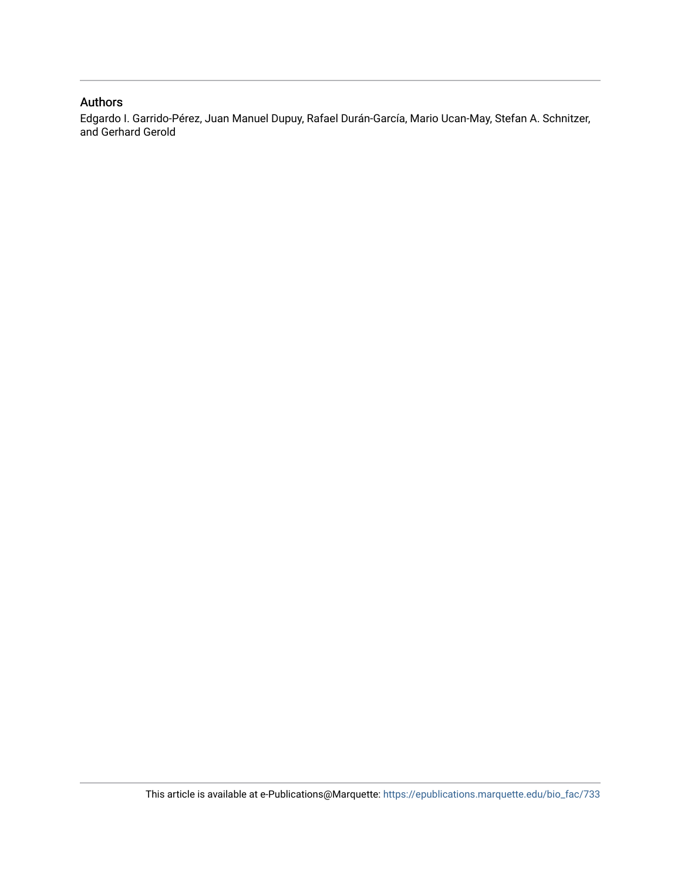### Authors

Edgardo I. Garrido-Pérez, Juan Manuel Dupuy, Rafael Durán-García, Mario Ucan-May, Stefan A. Schnitzer, and Gerhard Gerold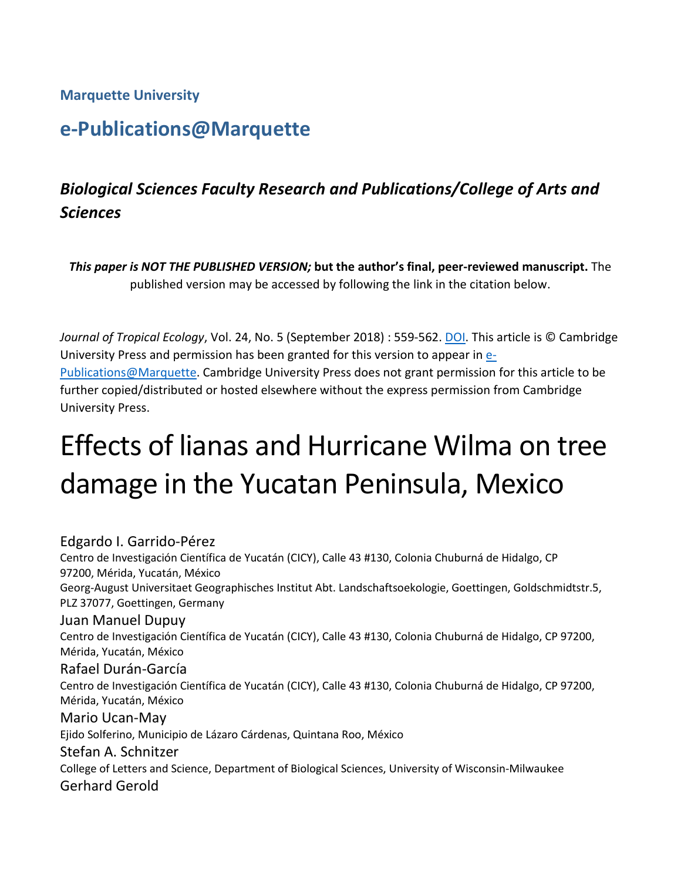**Marquette University**

# **e-Publications@Marquette**

## *Biological Sciences Faculty Research and Publications/College of Arts and Sciences*

*This paper is NOT THE PUBLISHED VERSION;* **but the author's final, peer-reviewed manuscript.** The published version may be accessed by following the link in the citation below.

*Journal of Tropical Ecology*, Vol. 24, No. 5 (September 2018) : 559-562. [DOI.](https://www.cambridge.org/core/journals/journal-of-tropical-ecology/article/effects-of-lianas-and-hurricane-wilma-on-tree-damage-in-the-yucatan-peninsula-mexico/FEB472A2200E7A2C2FAA455BAE6F3B64) This article is © Cambridge University Press and permission has been granted for this version to appear in [e-](http://epublications.marquette.edu/)[Publications@Marquette.](http://epublications.marquette.edu/) Cambridge University Press does not grant permission for this article to be further copied/distributed or hosted elsewhere without the express permission from Cambridge University Press.

# Effects of lianas and Hurricane Wilma on tree damage in the Yucatan Peninsula, Mexico

Edgardo I. Garrido-Pérez Centro de Investigación Científica de Yucatán (CICY), Calle 43 #130, Colonia Chuburná de Hidalgo, CP 97200, Mérida, Yucatán, México Georg-August Universitaet Geographisches Institut Abt. Landschaftsoekologie, Goettingen, Goldschmidtstr.5, PLZ 37077, Goettingen, Germany Juan Manuel Dupuy Centro de Investigación Científica de Yucatán (CICY), Calle 43 #130, Colonia Chuburná de Hidalgo, CP 97200, Mérida, Yucatán, México Rafael Durán-García Centro de Investigación Científica de Yucatán (CICY), Calle 43 #130, Colonia Chuburná de Hidalgo, CP 97200, Mérida, Yucatán, México Mario Ucan-May Ejido Solferino, Municipio de Lázaro Cárdenas, Quintana Roo, México Stefan A. Schnitzer College of Letters and Science, Department of Biological Sciences, University of Wisconsin-Milwaukee Gerhard Gerold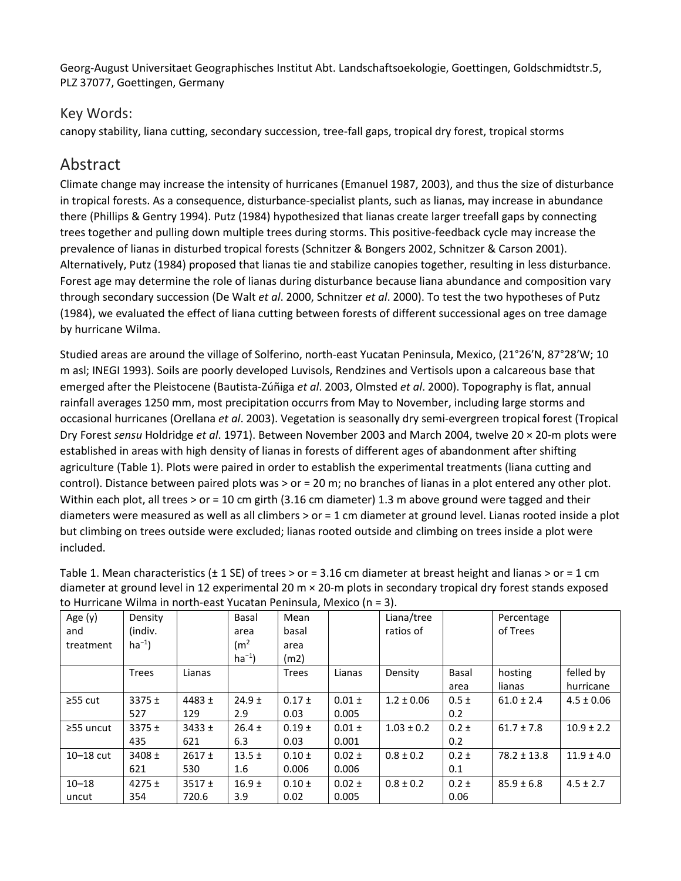Georg-August Universitaet Geographisches Institut Abt. Landschaftsoekologie, Goettingen, Goldschmidtstr.5, PLZ 37077, Goettingen, Germany

### Key Words:

canopy stability, liana cutting, secondary succession, tree-fall gaps, tropical dry forest, tropical storms

### Abstract

Climate change may increase the intensity of hurricanes (Emanuel 1987, 2003), and thus the size of disturbance in tropical forests. As a consequence, disturbance-specialist plants, such as lianas, may increase in abundance there (Phillips & Gentry 1994). Putz (1984) hypothesized that lianas create larger treefall gaps by connecting trees together and pulling down multiple trees during storms. This positive-feedback cycle may increase the prevalence of lianas in disturbed tropical forests (Schnitzer & Bongers 2002, Schnitzer & Carson 2001). Alternatively, Putz (1984) proposed that lianas tie and stabilize canopies together, resulting in less disturbance. Forest age may determine the role of lianas during disturbance because liana abundance and composition vary through secondary succession (De Walt *et al*. 2000, Schnitzer *et al*. 2000). To test the two hypotheses of Putz (1984), we evaluated the effect of liana cutting between forests of different successional ages on tree damage by hurricane Wilma.

Studied areas are around the village of Solferino, north-east Yucatan Peninsula, Mexico, (21°26′N, 87°28′W; 10 m asl; INEGI 1993). Soils are poorly developed Luvisols, Rendzines and Vertisols upon a calcareous base that emerged after the Pleistocene (Bautista-Zúñiga *et al*. 2003, Olmsted *et al*. 2000). Topography is flat, annual rainfall averages 1250 mm, most precipitation occurrs from May to November, including large storms and occasional hurricanes (Orellana *et al*. 2003). Vegetation is seasonally dry semi-evergreen tropical forest (Tropical Dry Forest *sensu* Holdridge *et al*. 1971). Between November 2003 and March 2004, twelve 20 × 20-m plots were established in areas with high density of lianas in forests of different ages of abandonment after shifting agriculture (Table 1). Plots were paired in order to establish the experimental treatments (liana cutting and control). Distance between paired plots was > or = 20 m; no branches of lianas in a plot entered any other plot. Within each plot, all trees > or = 10 cm girth (3.16 cm diameter) 1.3 m above ground were tagged and their diameters were measured as well as all climbers > or = 1 cm diameter at ground level. Lianas rooted inside a plot but climbing on trees outside were excluded; lianas rooted outside and climbing on trees inside a plot were included.

| Age $(y)$       | Density      |            | Basal             | Mean         |            | Liana/tree     |           | Percentage      |                |
|-----------------|--------------|------------|-------------------|--------------|------------|----------------|-----------|-----------------|----------------|
| and             | (indiv.      |            | area              | basal        |            | ratios of      |           | of Trees        |                |
| treatment       | $ha^{-1}$ )  |            | (m <sup>2</sup> ) | area         |            |                |           |                 |                |
|                 |              |            | $ha^{-1}$         | (m2)         |            |                |           |                 |                |
|                 | <b>Trees</b> | Lianas     |                   | <b>Trees</b> | Lianas     | Density        | Basal     | hosting         | felled by      |
|                 |              |            |                   |              |            |                | area      | lianas          | hurricane      |
| $\geq$ 55 cut   | $3375 \pm$   | 4483 $\pm$ | $24.9 \pm$        | $0.17 \pm$   | $0.01 \pm$ | $1.2 \pm 0.06$ | $0.5 \pm$ | $61.0 \pm 2.4$  | $4.5 \pm 0.06$ |
|                 | 527          | 129        | 2.9               | 0.03         | 0.005      |                | 0.2       |                 |                |
| $\geq$ 55 uncut | $3375 \pm$   | $3433 \pm$ | $26.4 \pm$        | $0.19 \pm$   | $0.01 \pm$ | $1.03 \pm 0.2$ | $0.2 \pm$ | $61.7 \pm 7.8$  | $10.9 \pm 2.2$ |
|                 | 435          | 621        | 6.3               | 0.03         | 0.001      |                | 0.2       |                 |                |
| $10-18$ cut     | $3408 \pm$   | 2617±      | $13.5 \pm$        | $0.10 \pm$   | $0.02 \pm$ | $0.8 \pm 0.2$  | $0.2 \pm$ | $78.2 \pm 13.8$ | $11.9 \pm 4.0$ |
|                 | 621          | 530        | 1.6               | 0.006        | 0.006      |                | 0.1       |                 |                |
| $10 - 18$       | $4275 \pm$   | $3517 \pm$ | $16.9 +$          | $0.10 \pm$   | $0.02 \pm$ | $0.8 \pm 0.2$  | $0.2 \pm$ | $85.9 \pm 6.8$  | $4.5 \pm 2.7$  |
| uncut           | 354          | 720.6      | 3.9               | 0.02         | 0.005      |                | 0.06      |                 |                |

Table 1. Mean characteristics ( $\pm$  1 SE) of trees > or = 3.16 cm diameter at breast height and lianas > or = 1 cm diameter at ground level in 12 experimental 20 m × 20-m plots in secondary tropical dry forest stands exposed to Hurricane Wilma in north-east Yucatan Peninsula, Mexico (n = 3).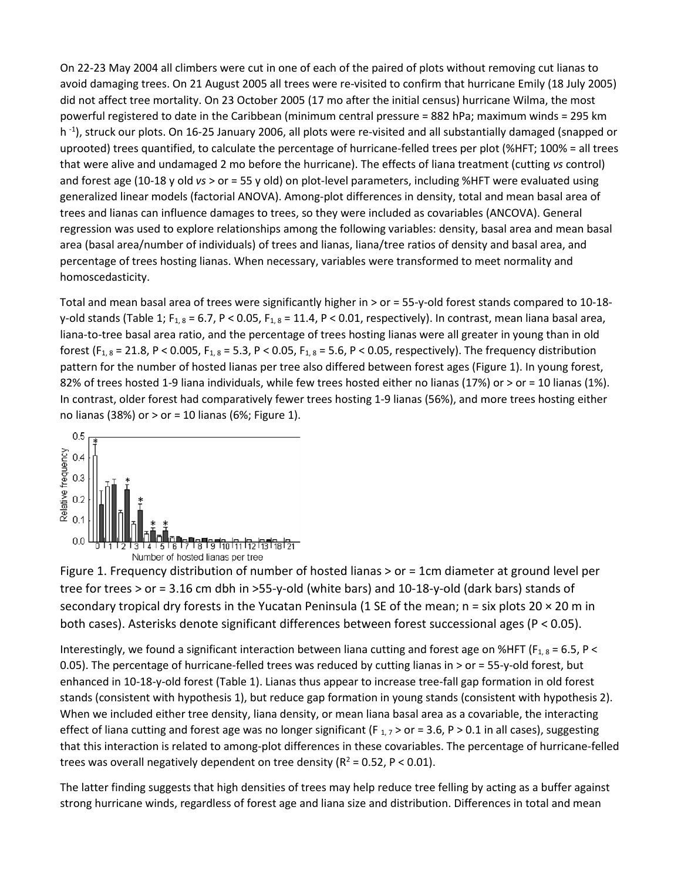On 22-23 May 2004 all climbers were cut in one of each of the paired of plots without removing cut lianas to avoid damaging trees. On 21 August 2005 all trees were re-visited to confirm that hurricane Emily (18 July 2005) did not affect tree mortality. On 23 October 2005 (17 mo after the initial census) hurricane Wilma, the most powerful registered to date in the Caribbean (minimum central pressure = 882 hPa; maximum winds = 295 km h<sup>-1</sup>), struck our plots. On 16-25 January 2006, all plots were re-visited and all substantially damaged (snapped or uprooted) trees quantified, to calculate the percentage of hurricane-felled trees per plot (%HFT; 100% = all trees that were alive and undamaged 2 mo before the hurricane). The effects of liana treatment (cutting *vs* control) and forest age (10-18 y old *vs* > or = 55 y old) on plot-level parameters, including %HFT were evaluated using generalized linear models (factorial ANOVA). Among-plot differences in density, total and mean basal area of trees and lianas can influence damages to trees, so they were included as covariables (ANCOVA). General regression was used to explore relationships among the following variables: density, basal area and mean basal area (basal area/number of individuals) of trees and lianas, liana/tree ratios of density and basal area, and percentage of trees hosting lianas. When necessary, variables were transformed to meet normality and homoscedasticity.

Total and mean basal area of trees were significantly higher in > or = 55-y-old forest stands compared to 10-18 y-old stands (Table 1; F<sub>1, 8</sub> = 6.7, P < 0.05, F<sub>1, 8</sub> = 11.4, P < 0.01, respectively). In contrast, mean liana basal area, liana-to-tree basal area ratio, and the percentage of trees hosting lianas were all greater in young than in old forest ( $F_{1, 8}$  = 21.8, P < 0.005,  $F_{1, 8}$  = 5.3, P < 0.05,  $F_{1, 8}$  = 5.6, P < 0.05, respectively). The frequency distribution pattern for the number of hosted lianas per tree also differed between forest ages (Figure 1). In young forest, 82% of trees hosted 1-9 liana individuals, while few trees hosted either no lianas (17%) or > or = 10 lianas (1%). In contrast, older forest had comparatively fewer trees hosting 1-9 lianas (56%), and more trees hosting either no lianas (38%) or  $>$  or = 10 lianas (6%; Figure 1).



Figure 1. Frequency distribution of number of hosted lianas > or = 1cm diameter at ground level per tree for trees > or = 3.16 cm dbh in >55-y-old (white bars) and 10-18-y-old (dark bars) stands of secondary tropical dry forests in the Yucatan Peninsula (1 SE of the mean;  $n = \sin p$  plots 20  $\times$  20 m in both cases). Asterisks denote significant differences between forest successional ages (P < 0.05).

Interestingly, we found a significant interaction between liana cutting and forest age on %HFT ( $F_{1,8}$  = 6.5, P < 0.05). The percentage of hurricane-felled trees was reduced by cutting lianas in > or = 55-y-old forest, but enhanced in 10-18-y-old forest (Table 1). Lianas thus appear to increase tree-fall gap formation in old forest stands (consistent with hypothesis 1), but reduce gap formation in young stands (consistent with hypothesis 2). When we included either tree density, liana density, or mean liana basal area as a covariable, the interacting effect of liana cutting and forest age was no longer significant (F<sub>1,7</sub> > or = 3.6, P > 0.1 in all cases), suggesting that this interaction is related to among-plot differences in these covariables. The percentage of hurricane-felled trees was overall negatively dependent on tree density ( $R^2$  = 0.52, P < 0.01).

The latter finding suggests that high densities of trees may help reduce tree felling by acting as a buffer against strong hurricane winds, regardless of forest age and liana size and distribution. Differences in total and mean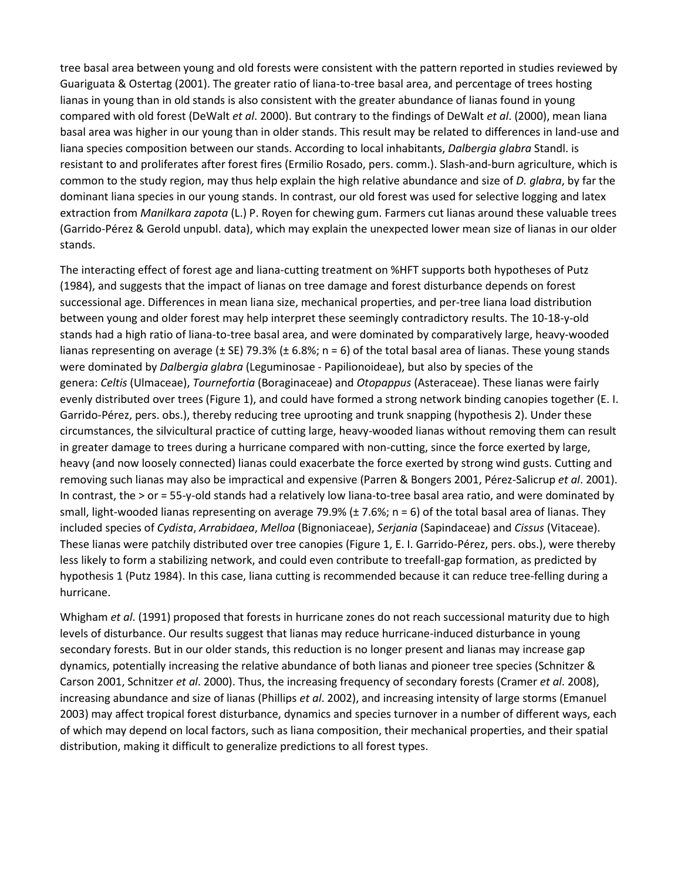tree basal area between young and old forests were consistent with the pattern reported in studies reviewed by Guariguata & Ostertag (2001). The greater ratio of liana-to-tree basal area, and percentage of trees hosting lianas in young than in old stands is also consistent with the greater abundance of lianas found in young compared with old forest (DeWalt *et al*. 2000). But contrary to the findings of DeWalt *et al*. (2000), mean liana basal area was higher in our young than in older stands. This result may be related to differences in land-use and liana species composition between our stands. According to local inhabitants, *Dalbergia glabra* Standl. is resistant to and proliferates after forest fires (Ermilio Rosado, pers. comm.). Slash-and-burn agriculture, which is common to the study region, may thus help explain the high relative abundance and size of *D. glabra*, by far the dominant liana species in our young stands. In contrast, our old forest was used for selective logging and latex extraction from *Manilkara zapota* (L.) P. Royen for chewing gum. Farmers cut lianas around these valuable trees (Garrido-Pérez & Gerold unpubl. data), which may explain the unexpected lower mean size of lianas in our older stands.

The interacting effect of forest age and liana-cutting treatment on %HFT supports both hypotheses of Putz (1984), and suggests that the impact of lianas on tree damage and forest disturbance depends on forest successional age. Differences in mean liana size, mechanical properties, and per-tree liana load distribution between young and older forest may help interpret these seemingly contradictory results. The 10-18-y-old stands had a high ratio of liana-to-tree basal area, and were dominated by comparatively large, heavy-wooded lianas representing on average ( $\pm$  SE) 79.3% ( $\pm$  6.8%; n = 6) of the total basal area of lianas. These young stands were dominated by *Dalbergia glabra* (Leguminosae - Papilionoideae), but also by species of the genera: *Celtis* (Ulmaceae), *Tournefortia* (Boraginaceae) and *Otopappus* (Asteraceae). These lianas were fairly evenly distributed over trees (Figure 1), and could have formed a strong network binding canopies together (E. I. Garrido-Pérez, pers. obs.), thereby reducing tree uprooting and trunk snapping (hypothesis 2). Under these circumstances, the silvicultural practice of cutting large, heavy-wooded lianas without removing them can result in greater damage to trees during a hurricane compared with non-cutting, since the force exerted by large, heavy (and now loosely connected) lianas could exacerbate the force exerted by strong wind gusts. Cutting and removing such lianas may also be impractical and expensive (Parren & Bongers 2001, Pérez-Salicrup *et al*. 2001). In contrast, the > or = 55-y-old stands had a relatively low liana-to-tree basal area ratio, and were dominated by small, light-wooded lianas representing on average 79.9% ( $\pm$  7.6%; n = 6) of the total basal area of lianas. They included species of *Cydista*, *Arrabidaea*, *Melloa* (Bignoniaceae), *Serjania* (Sapindaceae) and *Cissus* (Vitaceae). These lianas were patchily distributed over tree canopies (Figure 1, E. I. Garrido-Pérez, pers. obs.), were thereby less likely to form a stabilizing network, and could even contribute to treefall-gap formation, as predicted by hypothesis 1 (Putz 1984). In this case, liana cutting is recommended because it can reduce tree-felling during a hurricane.

Whigham *et al*. (1991) proposed that forests in hurricane zones do not reach successional maturity due to high levels of disturbance. Our results suggest that lianas may reduce hurricane-induced disturbance in young secondary forests. But in our older stands, this reduction is no longer present and lianas may increase gap dynamics, potentially increasing the relative abundance of both lianas and pioneer tree species (Schnitzer & Carson 2001, Schnitzer *et al*. 2000). Thus, the increasing frequency of secondary forests (Cramer *et al*. 2008), increasing abundance and size of lianas (Phillips *et al*. 2002), and increasing intensity of large storms (Emanuel 2003) may affect tropical forest disturbance, dynamics and species turnover in a number of different ways, each of which may depend on local factors, such as liana composition, their mechanical properties, and their spatial distribution, making it difficult to generalize predictions to all forest types.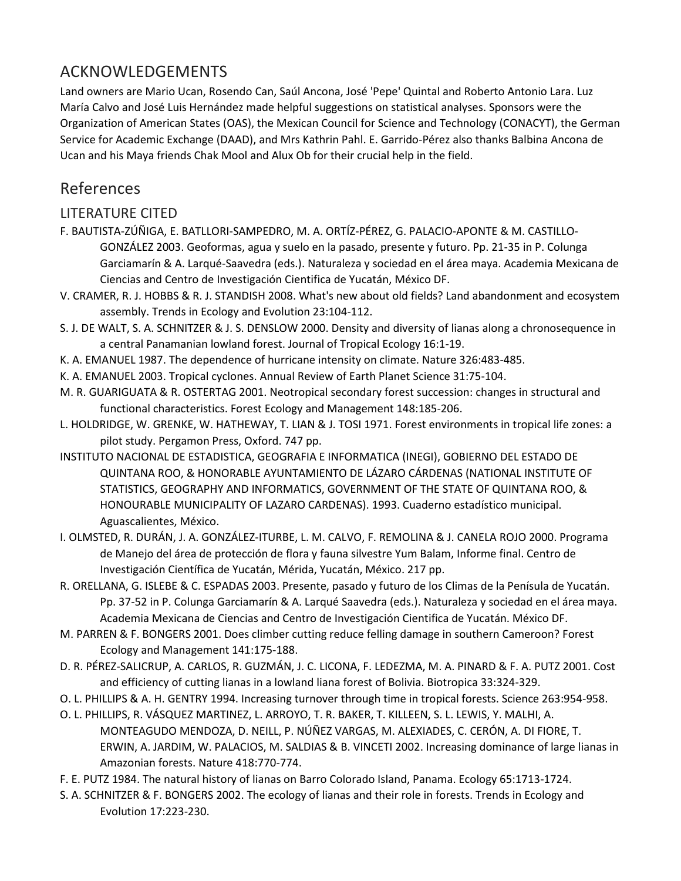## ACKNOWLEDGEMENTS

Land owners are Mario Ucan, Rosendo Can, Saúl Ancona, José 'Pepe' Quintal and Roberto Antonio Lara. Luz María Calvo and José Luis Hernández made helpful suggestions on statistical analyses. Sponsors were the Organization of American States (OAS), the Mexican Council for Science and Technology (CONACYT), the German Service for Academic Exchange (DAAD), and Mrs Kathrin Pahl. E. Garrido-Pérez also thanks Balbina Ancona de Ucan and his Maya friends Chak Mool and Alux Ob for their crucial help in the field.

## References

### LITERATURE CITED

- F. BAUTISTA-ZÚÑIGA, E. BATLLORI-SAMPEDRO, M. A. ORTÍZ-PÉREZ, G. PALACIO-APONTE & M. CASTILLO-GONZÁLEZ 2003. Geoformas, agua y suelo en la pasado, presente y futuro. Pp. 21-35 in P. Colunga Garciamarín & A. Larqué-Saavedra (eds.). Naturaleza y sociedad en el área maya. Academia Mexicana de Ciencias and Centro de Investigación Cientifica de Yucatán, México DF.
- V. CRAMER, R. J. HOBBS & R. J. STANDISH 2008. What's new about old fields? Land abandonment and ecosystem assembly. Trends in Ecology and Evolution 23:104-112.
- S. J. DE WALT, S. A. SCHNITZER & J. S. DENSLOW 2000. Density and diversity of lianas along a chronosequence in a central Panamanian lowland forest. Journal of Tropical Ecology 16:1-19.
- K. A. EMANUEL 1987. The dependence of hurricane intensity on climate. Nature 326:483-485.
- K. A. EMANUEL 2003. Tropical cyclones. Annual Review of Earth Planet Science 31:75-104.
- M. R. GUARIGUATA & R. OSTERTAG 2001. Neotropical secondary forest succession: changes in structural and functional characteristics. Forest Ecology and Management 148:185-206.
- L. HOLDRIDGE, W. GRENKE, W. HATHEWAY, T. LIAN & J. TOSI 1971. Forest environments in tropical life zones: a pilot study. Pergamon Press, Oxford. 747 pp.
- INSTITUTO NACIONAL DE ESTADISTICA, GEOGRAFIA E INFORMATICA (INEGI), GOBIERNO DEL ESTADO DE QUINTANA ROO, & HONORABLE AYUNTAMIENTO DE LÁZARO CÁRDENAS (NATIONAL INSTITUTE OF STATISTICS, GEOGRAPHY AND INFORMATICS, GOVERNMENT OF THE STATE OF QUINTANA ROO, & HONOURABLE MUNICIPALITY OF LAZARO CARDENAS). 1993. Cuaderno estadístico municipal. Aguascalientes, México.
- I. OLMSTED, R. DURÁN, J. A. GONZÁLEZ-ITURBE, L. M. CALVO, F. REMOLINA & J. CANELA ROJO 2000. Programa de Manejo del área de protección de flora y fauna silvestre Yum Balam, Informe final. Centro de Investigación Científica de Yucatán, Mérida, Yucatán, México. 217 pp.
- R. ORELLANA, G. ISLEBE & C. ESPADAS 2003. Presente, pasado y futuro de los Climas de la Penísula de Yucatán. Pp. 37-52 in P. Colunga Garciamarín & A. Larqué Saavedra (eds.). Naturaleza y sociedad en el área maya. Academia Mexicana de Ciencias and Centro de Investigación Cientifica de Yucatán. México DF.
- M. PARREN & F. BONGERS 2001. Does climber cutting reduce felling damage in southern Cameroon? Forest Ecology and Management 141:175-188.
- D. R. PÉREZ-SALICRUP, A. CARLOS, R. GUZMÁN, J. C. LICONA, F. LEDEZMA, M. A. PINARD & F. A. PUTZ 2001. Cost and efficiency of cutting lianas in a lowland liana forest of Bolivia. Biotropica 33:324-329.
- O. L. PHILLIPS & A. H. GENTRY 1994. Increasing turnover through time in tropical forests. Science 263:954-958.
- O. L. PHILLIPS, R. VÁSQUEZ MARTINEZ, L. ARROYO, T. R. BAKER, T. KILLEEN, S. L. LEWIS, Y. MALHI, A. MONTEAGUDO MENDOZA, D. NEILL, P. NÚÑEZ VARGAS, M. ALEXIADES, C. CERÓN, A. DI FIORE, T. ERWIN, A. JARDIM, W. PALACIOS, M. SALDIAS & B. VINCETI 2002. Increasing dominance of large lianas in Amazonian forests. Nature 418:770-774.
- F. E. PUTZ 1984. The natural history of lianas on Barro Colorado Island, Panama. Ecology 65:1713-1724.
- S. A. SCHNITZER & F. BONGERS 2002. The ecology of lianas and their role in forests. Trends in Ecology and Evolution 17:223-230.